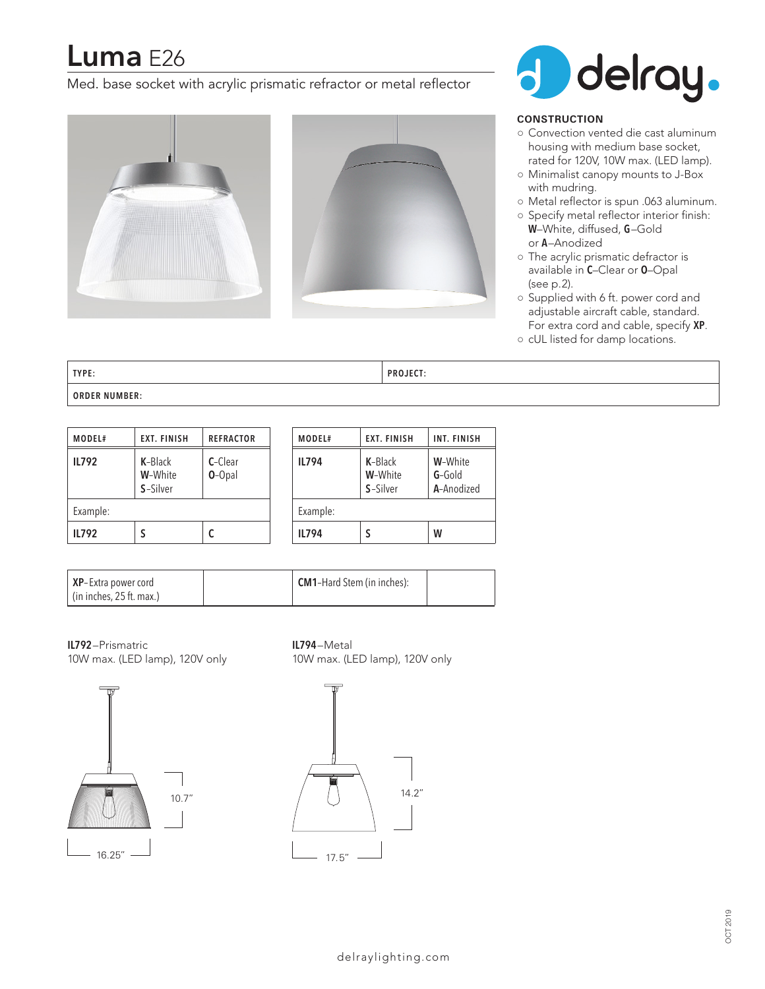# **Luma** E26

Med. base socket with acrylic prismatic refractor or metal reflector







### **CONSTRUCTION**

- Convection vented die cast aluminum housing with medium base socket, rated for 120V, 10W max. (LED lamp).
- Minimalist canopy mounts to J-Box with mudring.
- Metal reflector is spun .063 aluminum.
- Specify metal reflector interior finish: **W**–White, diffused, **G**–Gold or **A**–Anodized
- The acrylic prismatic defractor is available in **C**–Clear or **O**–Opal (see p.2).
- Supplied with 6 ft. power cord and adjustable aircraft cable, standard. For extra cord and cable, specify **XP**.
- cUL listed for damp locations.

**TYPE: PROJECT: ORDER NUMBER:**

| MODEL#       | <b>EXT. FINISH</b>             | <b>REFRACTOR</b>    |  |  |  |
|--------------|--------------------------------|---------------------|--|--|--|
| <b>IL792</b> | K-Black<br>W-White<br>S-Silver | C-Clear<br>$O-Opal$ |  |  |  |
| Example:     |                                |                     |  |  |  |
| <b>IL792</b> |                                | C                   |  |  |  |

| <b>IL794</b> |                                | W                                 |  |
|--------------|--------------------------------|-----------------------------------|--|
| Example:     |                                |                                   |  |
| <b>IL794</b> | K-Black<br>W-White<br>S-Silver | W-White<br>$G-Gold$<br>A-Anodized |  |
| MODEL#       | <b>EXT. FINISH</b>             | <b>INT. FINISH</b>                |  |

| XP-Extra power cord<br>l (in inches, 25 ft. max.) | <b>CM1-Hard Stem (in inches):</b> |  |
|---------------------------------------------------|-----------------------------------|--|
|---------------------------------------------------|-----------------------------------|--|

**IL792**–Prismatric 10W max. (LED lamp), 120V only **IL794**–Metal 10W max. (LED lamp), 120V only